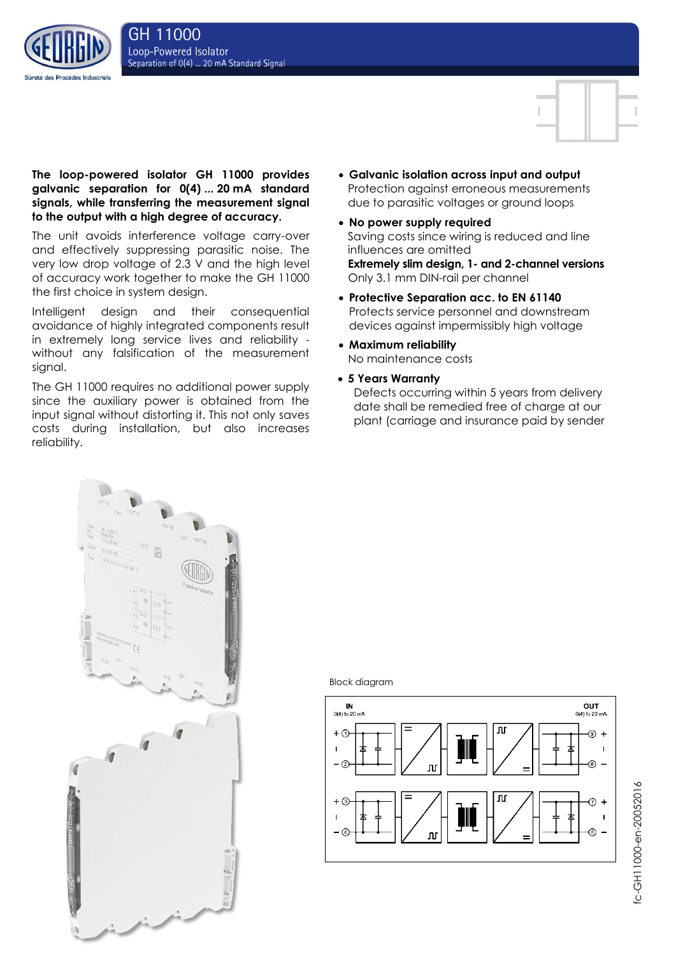



The unit avoids interference voltage carry-over and effectively suppressing parasitic noise. The very low drop voltage of 2.3 V and the high level of accuracy work together to make the GH 11000 the first choice in system design.

Intelligent design and their consequential avoidance of highly integrated components result in extremely long service lives and reliability without any falsification of the measurement signal.

The GH 11000 requires no additional power supply since the auxiliary power is obtained from the input signal without distorting it. This not only saves costs during installation, but also increases reliability.

- **Galvanic isolation across input and output** Protection against erroneous measurements due to parasitic voltages or ground loops
- **No power supply required** Saving costs since wiring is reduced and line influences are omitted **Extremely slim design, 1- and 2-channel versions** Only 3.1 mm DIN-rail per channel
- **Protective Separation acc. to EN 61140** Protects service personnel and downstream devices against impermissibly high voltage
- **Maximum reliability** No maintenance costs
- **5 Years Warranty**
- Defects occurring within 5 years from delivery date shall be remedied free of charge at our plant (carriage and insurance paid by sender



Block diagram



fc-GH11000-en-20052016 fc-GH11000-en-20052016